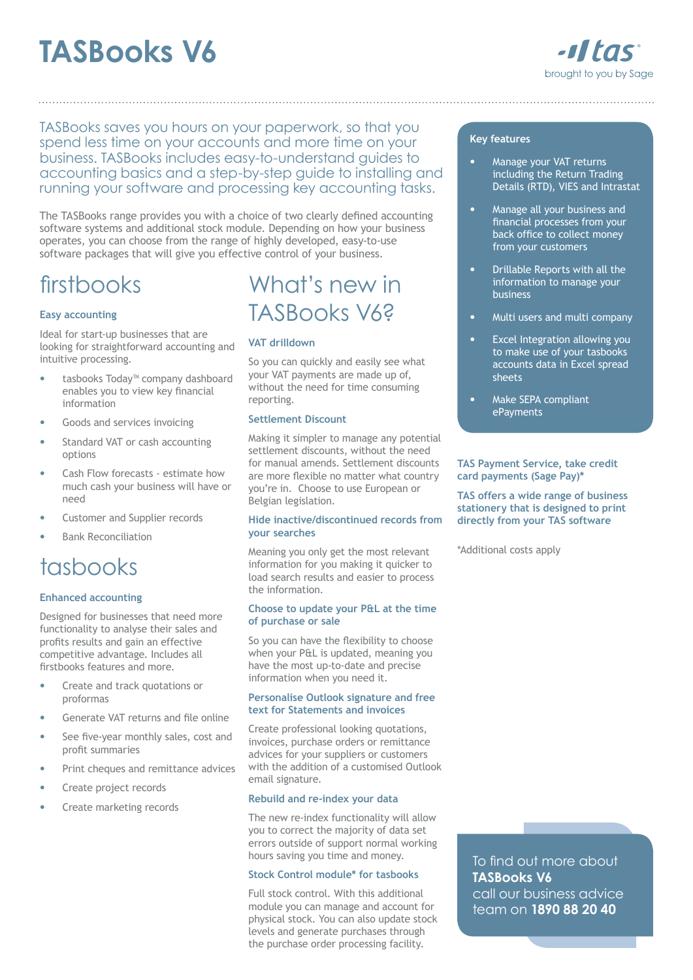# **TASBooks V6**



TASBooks saves you hours on your paperwork, so that you spend less time on your accounts and more time on your business. TASBooks includes easy-to-understand guides to accounting basics and a step-by-step guide to installing and running your software and processing key accounting tasks.

The TASBooks range provides you with a choice of two clearly defined accounting software systems and additional stock module. Depending on how your business operates, you can choose from the range of highly developed, easy-to-use software packages that will give you effective control of your business.

# firstbooks

# **Easy accounting**

Ideal for start-up businesses that are looking for straightforward accounting and intuitive processing.

- tasbooks Today™ company dashboard enables you to view key financial information
- Goods and services invoicing
- Standard VAT or cash accounting options
- Cash Flow forecasts estimate how much cash your business will have or need
- Customer and Supplier records
- Bank Reconciliation

# tasbooks

### **Enhanced accounting**

Designed for businesses that need more functionality to analyse their sales and profits results and gain an effective competitive advantage. Includes all firstbooks features and more.

- Create and track quotations or proformas
- Generate VAT returns and file online
- See five-year monthly sales, cost and profit summaries
- Print cheques and remittance advices
- Create project records
- Create marketing records

# What's new in TASBooks V6?

## **VAT drilldown**

So you can quickly and easily see what your VAT payments are made up of, without the need for time consuming reporting.

#### **Settlement Discount**

Making it simpler to manage any potential settlement discounts, without the need for manual amends. Settlement discounts are more flexible no matter what country you're in. Choose to use European or Belgian legislation.

### **Hide inactive/discontinued records from your searches**

Meaning you only get the most relevant information for you making it quicker to load search results and easier to process the information.

#### **Choose to update your P&L at the time of purchase or sale**

So you can have the flexibility to choose when your P&L is updated, meaning you have the most up-to-date and precise information when you need it.

#### **Personalise Outlook signature and free text for Statements and invoices**

Create professional looking quotations, invoices, purchase orders or remittance advices for your suppliers or customers with the addition of a customised Outlook email signature.

### **Rebuild and re-index your data**

The new re-index functionality will allow you to correct the majority of data set errors outside of support normal working hours saving you time and money.

### **Stock Control module\* for tasbooks**

Full stock control. With this additional module you can manage and account for physical stock. You can also update stock levels and generate purchases through the purchase order processing facility.

#### **Key features**

- Manage your VAT returns including the Return Trading Details (RTD), VIES and Intrastat
- Manage all your business and financial processes from your back office to collect money from your customers
- Drillable Reports with all the information to manage your business
- Multi users and multi company
- Excel Integration allowing you to make use of your tasbooks accounts data in Excel spread sheets
- Make SEPA compliant ePayments

#### **TAS Payment Service, take credit card payments (Sage Pay)\***

**TAS offers a wide range of business stationery that is designed to print directly from your TAS software**

\*Additional costs apply

To find out more about **TASBooks V6** call our business advice team on **1890 88 20 40**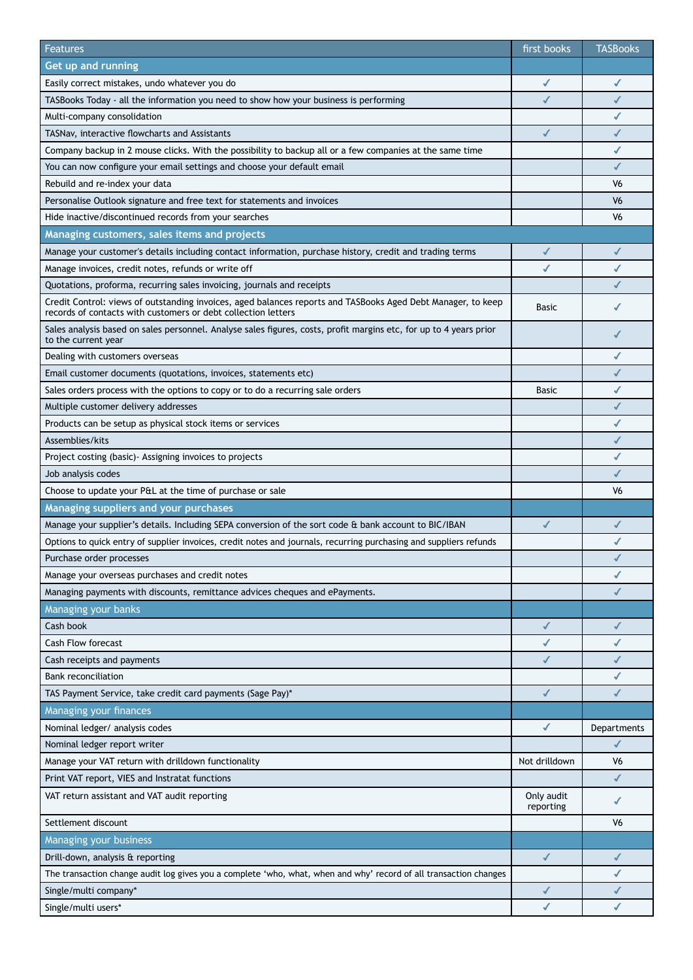| Features                                                                                                                                                                      | first books             | <b>TASBooks</b>          |
|-------------------------------------------------------------------------------------------------------------------------------------------------------------------------------|-------------------------|--------------------------|
| Get up and running                                                                                                                                                            |                         |                          |
| Easily correct mistakes, undo whatever you do                                                                                                                                 | $\checkmark$            | $\checkmark$             |
| TASBooks Today - all the information you need to show how your business is performing                                                                                         |                         | $\checkmark$             |
| Multi-company consolidation                                                                                                                                                   |                         | ✔                        |
| TASNav, interactive flowcharts and Assistants                                                                                                                                 | $\checkmark$            | $\checkmark$             |
| Company backup in 2 mouse clicks. With the possibility to backup all or a few companies at the same time                                                                      |                         | ✔                        |
| You can now configure your email settings and choose your default email                                                                                                       |                         | $\checkmark$             |
| Rebuild and re-index your data                                                                                                                                                |                         | V <sub>6</sub>           |
| Personalise Outlook signature and free text for statements and invoices                                                                                                       |                         | V6                       |
| Hide inactive/discontinued records from your searches                                                                                                                         |                         | V <sub>6</sub>           |
| Managing customers, sales items and projects                                                                                                                                  |                         |                          |
| Manage your customer's details including contact information, purchase history, credit and trading terms                                                                      | ✔                       | $\checkmark$             |
| Manage invoices, credit notes, refunds or write off                                                                                                                           | ✔                       | ✔                        |
| Quotations, proforma, recurring sales invoicing, journals and receipts                                                                                                        |                         | ✔                        |
| Credit Control: views of outstanding invoices, aged balances reports and TASBooks Aged Debt Manager, to keep<br>records of contacts with customers or debt collection letters | <b>Basic</b>            |                          |
| Sales analysis based on sales personnel. Analyse sales figures, costs, profit margins etc, for up to 4 years prior<br>to the current year                                     |                         | ✔                        |
| Dealing with customers overseas                                                                                                                                               |                         | ✔                        |
| Email customer documents (quotations, invoices, statements etc)                                                                                                               |                         | ✔                        |
| Sales orders process with the options to copy or to do a recurring sale orders                                                                                                | <b>Basic</b>            | ✔                        |
| Multiple customer delivery addresses                                                                                                                                          |                         | ✔                        |
| Products can be setup as physical stock items or services                                                                                                                     |                         | ✔                        |
| Assemblies/kits                                                                                                                                                               |                         | $\checkmark$             |
| Project costing (basic) Assigning invoices to projects                                                                                                                        |                         | ✔                        |
| Job analysis codes                                                                                                                                                            |                         | ✔                        |
| Choose to update your P&L at the time of purchase or sale                                                                                                                     |                         | V <sub>6</sub>           |
| Managing suppliers and your purchases                                                                                                                                         |                         |                          |
| Manage your supplier's details. Including SEPA conversion of the sort code & bank account to BIC/IBAN                                                                         | $\checkmark$            | ✔                        |
| Options to quick entry of supplier invoices, credit notes and journals, recurring purchasing and suppliers refunds                                                            |                         | ✔                        |
| Purchase order processes                                                                                                                                                      |                         |                          |
| Manage your overseas purchases and credit notes                                                                                                                               |                         | ✔                        |
| Managing payments with discounts, remittance advices cheques and ePayments.                                                                                                   |                         | ✔                        |
| Managing your banks                                                                                                                                                           |                         |                          |
| Cash book                                                                                                                                                                     | $\checkmark$            | $\checkmark$             |
| <b>Cash Flow forecast</b>                                                                                                                                                     | ✔                       | ✔                        |
| Cash receipts and payments                                                                                                                                                    | $\checkmark$            | $\checkmark$             |
| <b>Bank reconciliation</b>                                                                                                                                                    |                         | ✔                        |
| TAS Payment Service, take credit card payments (Sage Pay)*                                                                                                                    | $\sqrt{2}$              | $\overline{\mathcal{L}}$ |
| Managing your finances                                                                                                                                                        |                         |                          |
| Nominal ledger/ analysis codes                                                                                                                                                | $\checkmark$            | Departments              |
| Nominal ledger report writer                                                                                                                                                  |                         | $\checkmark$             |
| Manage your VAT return with drilldown functionality                                                                                                                           | Not drilldown           | V <sub>6</sub>           |
| Print VAT report, VIES and Instratat functions                                                                                                                                |                         | $\checkmark$             |
| VAT return assistant and VAT audit reporting                                                                                                                                  | Only audit<br>reporting | ✔                        |
| Settlement discount                                                                                                                                                           |                         | V <sub>6</sub>           |
| Managing your business                                                                                                                                                        |                         |                          |
| Drill-down, analysis & reporting                                                                                                                                              | ✔                       | ✔                        |
| The transaction change audit log gives you a complete 'who, what, when and why' record of all transaction changes                                                             |                         | $\checkmark$             |
| Single/multi company*                                                                                                                                                         | $\checkmark$            | ✔                        |
| Single/multi users*                                                                                                                                                           | ✔                       | $\checkmark$             |
|                                                                                                                                                                               |                         |                          |